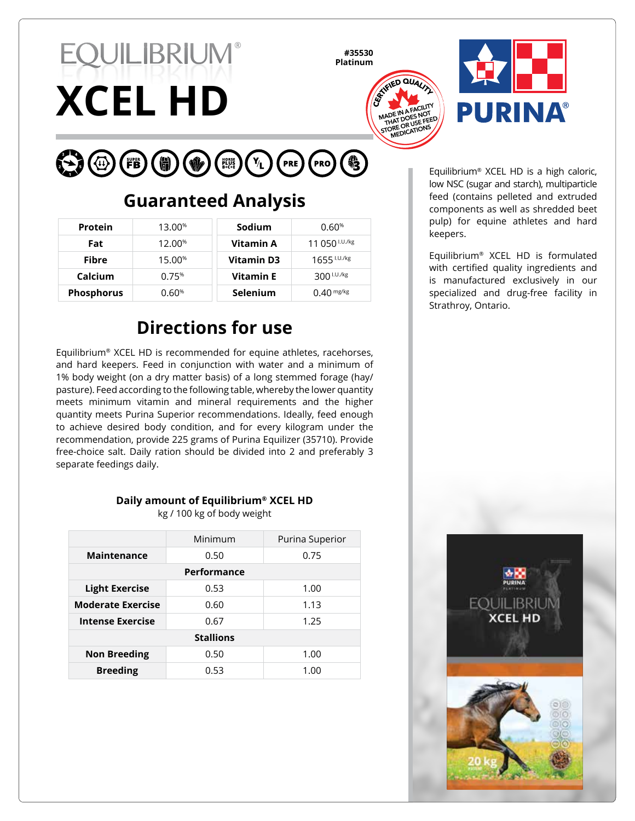# **XCEL HD EQUILIBRIUM®**

**#35530 Platinum**





#### $\bigodot$  $\bigodot$   $\bigodot$  (FB)  $\bigodot$ PRE PRO ( **V** HORSE<br>B+C+E

# **Guaranteed Analysis**

| <b>Protein</b>    | 13.00 <sup>%</sup> | Sodium           | 0.60%                  |
|-------------------|--------------------|------------------|------------------------|
| Fat               | 12.00%             | Vitamin A        | 11 050 $1.01$ /kg      |
| Fibre             | 15.00 <sup>%</sup> | Vitamin D3       | 1655 I.U./kg           |
| Calcium           | 0.75%              | <b>Vitamin E</b> | $300^{\text{1.0./kg}}$ |
| <b>Phosphorus</b> | $0.60\%$           | <b>Selenium</b>  | $0.40$ mg/kg           |

# **Directions for use**

Equilibrium® XCEL HD is recommended for equine athletes, racehorses, and hard keepers. Feed in conjunction with water and a minimum of 1% body weight (on a dry matter basis) of a long stemmed forage (hay/ pasture). Feed according to the following table, whereby the lower quantity meets minimum vitamin and mineral requirements and the higher quantity meets Purina Superior recommendations. Ideally, feed enough to achieve desired body condition, and for every kilogram under the recommendation, provide 225 grams of Purina Equilizer (35710). Provide free-choice salt. Daily ration should be divided into 2 and preferably 3 separate feedings daily.

#### **Daily amount of Equilibrium® XCEL HD**

kg / 100 kg of body weight

|                          | Minimum | Purina Superior |  |  |  |
|--------------------------|---------|-----------------|--|--|--|
| Maintenance              | 0.50    | 0.75            |  |  |  |
| Performance              |         |                 |  |  |  |
| <b>Light Exercise</b>    | 0.53    | 1.00            |  |  |  |
| <b>Moderate Exercise</b> | 0.60    | 1.13            |  |  |  |
| <b>Intense Exercise</b>  | 0.67    | 1.25            |  |  |  |
| <b>Stallions</b>         |         |                 |  |  |  |
| <b>Non Breeding</b>      | 0.50    | 1.00            |  |  |  |
| <b>Breeding</b>          | 0.53    | 1.00            |  |  |  |

Equilibrium® XCEL HD is a high caloric, low NSC (sugar and starch), multiparticle feed (contains pelleted and extruded components as well as shredded beet pulp) for equine athletes and hard keepers.

Equilibrium® XCEL HD is formulated with certified quality ingredients and is manufactured exclusively in our specialized and drug-free facility in Strathroy, Ontario.